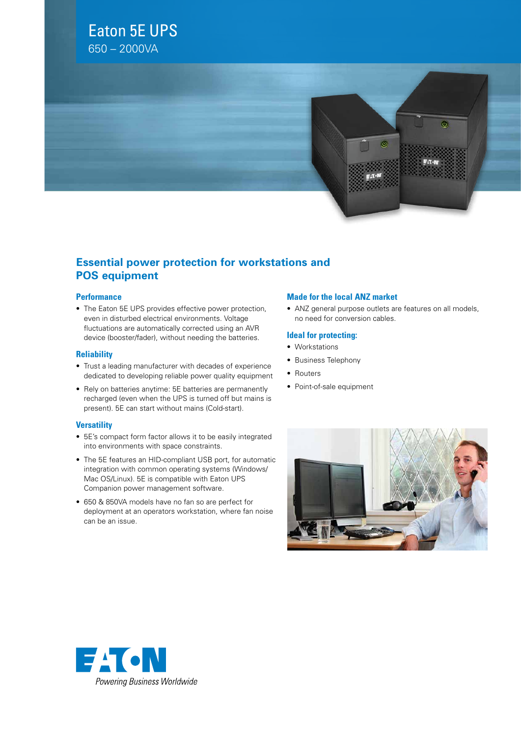## Eaton 5E UPS

650 – 2000VA



### **Essential power protection for workstations and POS equipment**

#### **Performance**

• The Eaton 5E UPS provides effective power protection, even in disturbed electrical environments. Voltage fluctuations are automatically corrected using an AVR device (booster/fader), without needing the batteries.

#### **Reliability**

- • Trust a leading manufacturer with decades of experience dedicated to developing reliable power quality equipment
- Rely on batteries anytime: 5E batteries are permanently recharged (even when the UPS is turned off but mains is present). 5E can start without mains (Cold-start).

#### **Versatility**

- 5E's compact form factor allows it to be easily integrated into environments with space constraints.
- The 5E features an HID-compliant USB port, for automatic integration with common operating systems (Windows/ Mac OS/Linux). 5E is compatible with Eaton UPS Companion power management software.
- • 650 & 850VA models have no fan so are perfect for deployment at an operators workstation, where fan noise can be an issue.

#### **Made for the local ANZ market**

• ANZ general purpose outlets are features on all models, no need for conversion cables.

#### **Ideal for protecting:**

- • Workstations
- • Business Telephony
- Routers
- Point-of-sale equipment